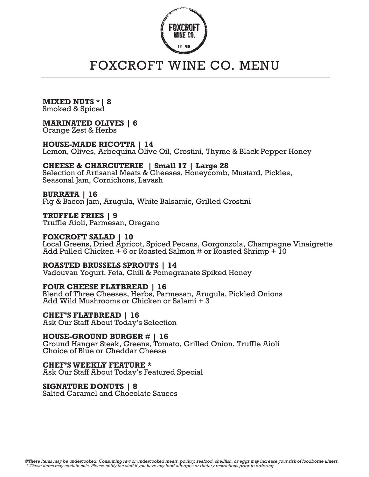

## FOXCROFT WINE CO. MENU

**MIXED NUTS** \***| 8** Smoked & Spiced

## **MARINATED OLIVES | 6**

Orange Zest & Herbs

**HOUSE-MADE RICOTTA | 14** Lemon, Olives, Arbequina Olive Oil, Crostini, Thyme & Black Pepper Honey

**CHEESE & CHARCUTERIE | Small 17 | Large 28** Selection of Artisanal Meats & Cheeses, Honeycomb, Mustard, Pickles, Seasonal Jam, Cornichons, Lavash

**BURRATA | 16** Fig & Bacon Jam, Arugula, White Balsamic, Grilled Crostini

**TRUFFLE FRIES | 9** Truffle Aioli, Parmesan, Oregano

**FOXCROFT SALAD | 10** Local Greens, Dried Apricot, Spiced Pecans, Gorgonzola, Champagne Vinaigrette Add Pulled Chicken  $+6$  or Roasted Salmon # or Roasted Shrimp  $+10$ 

**ROASTED BRUSSELS SPROUTS | 14** Vadouvan Yogurt, Feta, Chili & Pomegranate Spiked Honey

**FOUR CHEESE FLATBREAD | 16** Blend of Three Cheeses, Herbs, Parmesan, Arugula, Pickled Onions Add Wild Mushrooms or Chicken or Salami + 3

**CHEF'S FLATBREAD | 16** Ask Our Staff About Today's Selection

**HOUSE-GROUND BURGER** # **| 16** Ground Hanger Steak, Greens, Tomato, Grilled Onion, Truffle Aioli Choice of Blue or Cheddar Cheese

**CHEF'S WEEKLY FEATURE \***  Ask Our Staff About Today's Featured Special

**SIGNATURE DONUTS | 8**

Salted Caramel and Chocolate Sauces